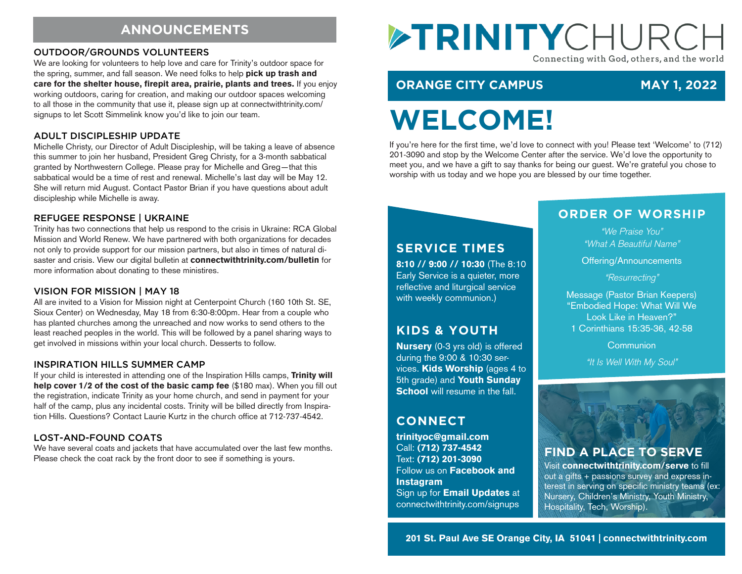# **ANNOUNCEMENTS**

#### OUTDOOR/GROUNDS VOLUNTEERS

We are looking for volunteers to help love and care for Trinity's outdoor space for the spring, summer, and fall season. We need folks to help pick up trash and care for the shelter house, firepit area, prairie, plants and trees. If you enjoy working outdoors, caring for creation, and making our outdoor spaces welcoming to all those in the community that use it, please sign up at connectwithtrinity.com/ signups to let Scott Simmelink know you'd like to join our team.

#### ADULT DISCIPLESHIP UPDATE

Michelle Christy, our Director of Adult Discipleship, will be taking a leave of absence this summer to join her husband, President Greg Christy, for a 3-month sabbatical granted by Northwestern College. Please pray for Michelle and Greg—that this sabbatical would be a time of rest and renewal. Michelle's last day will be May 12. She will return mid August. Contact Pastor Brian if you have questions about adult discipleship while Michelle is away.

#### REFUGEE RESPONSE | UKRAINE

Trinity has two connections that help us respond to the crisis in Ukraine: RCA Global Mission and World Renew. We have partnered with both organizations for decades not only to provide support for our mission partners, but also in times of natural disaster and crisis. View our digital bulletin at connectwithtrinity.com/bulletin for more information about donating to these ministires.

#### VISION FOR MISSION | MAY 18

All are invited to a Vision for Mission night at Centerpoint Church (160 10th St. SE, Sioux Center) on Wednesday, May 18 from 6:30-8:00pm. Hear from a couple who has planted churches among the unreached and now works to send others to the least reached peoples in the world. This will be followed by a panel sharing ways to get involved in missions within your local church. Desserts to follow.

#### INSPIRATION HILLS SUMMER CAMP

If your child is interested in attending one of the Inspiration Hills camps, Trinity will help cover 1/2 of the cost of the basic camp fee (\$180 max). When you fill out the registration, indicate Trinity as your home church, and send in payment for your half of the camp, plus any incidental costs. Trinity will be billed directly from Inspiration Hills. Questions? Contact Laurie Kurtz in the church office at 712-737-4542.

#### LOST-AND-FOUND COATS

We have several coats and jackets that have accumulated over the last few months. Please check the coat rack by the front door to see if something is yours.

# ETRINITYCHURC Connecting with God, others, and the world

# **ORANGE CITY CAMPUS MAY 1, 2022**

# **WELCOME!**

If you're here for the first time, we'd love to connect with you! Please text 'Welcome' to (712) 201-3090 and stop by the Welcome Center after the service. We'd love the opportunity to meet you, and we have a gift to say thanks for being our guest. We're grateful you chose to worship with us today and we hope you are blessed by our time together.

### **SERVICE TIMES**

8:10 // 9:00 // 10:30 (The 8:10 Early Service is a quieter, more reflective and liturgical service with weekly communion.)

# **KIDS & YOUTH**

Nursery (0-3 yrs old) is offered during the 9:00 & 10:30 services. Kids Worship (ages 4 to 5th grade) and Youth Sunday **School** will resume in the fall.

# **CONNECT**

trinityoc@gmail.com Call: (712) 737-4542 Text: (712) 201-3090 Follow us on Facebook and **Instagram** Sign up for Email Updates at connectwithtrinity.com/signups

### **ORDER OF WORSHIP**

*"We Praise You" "What A Beautiful Name"*

Offering/Announcements

*"Resurrecting"*

Message (Pastor Brian Keepers) "Embodied Hope: What Will We Look Like in Heaven?" 1 Corinthians 15:35-36, 42-58

**Communion** 

*"It Is Well With My Soul"*



# **FIND A PLACE TO SERVE**

Visit connectwithtrinity.com/serve to fill out a gifts + passions survey and express interest in serving on specific ministry teams (ex: Nursery, Children's Ministry, Youth Ministry, Hospitality, Tech, Worship).